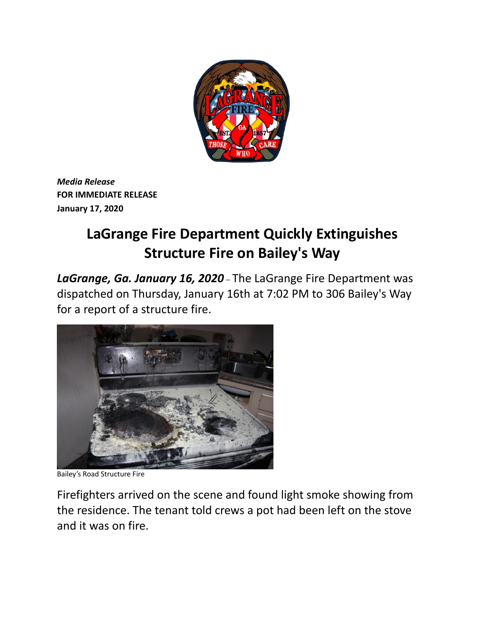

*Media Release* **FOR IMMEDIATE RELEASE January 17, 2020**

## **LaGrange Fire Department Quickly Extinguishes Structure Fire on Bailey's Way**

*LaGrange, Ga. January 16, 2020* – The LaGrange Fire Department was dispatched on Thursday, January 16th at 7:02 PM to 306 Bailey's Way for a report of a structure fire.



Bailey's Road Structure Fire

Firefighters arrived on the scene and found light smoke showing from the residence. The tenant told crews a pot had been left on the stove and it was on fire.